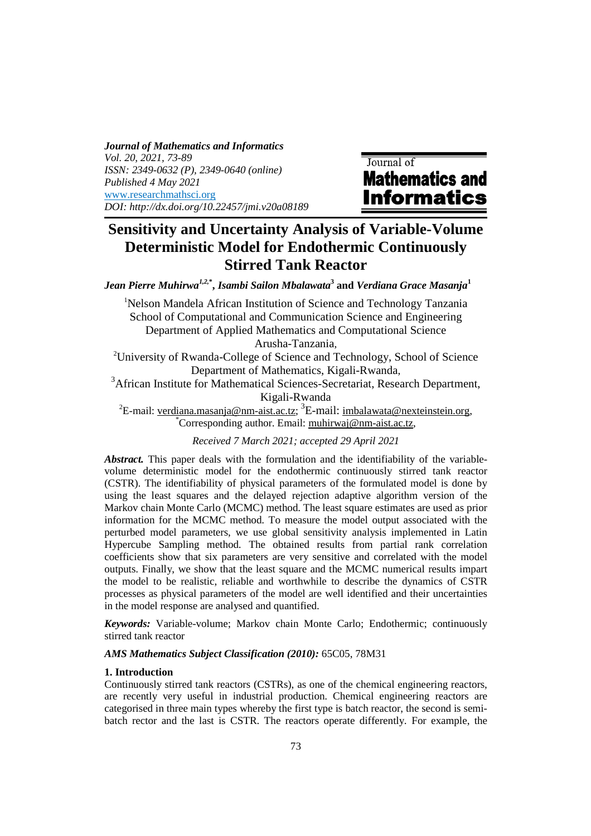*Journal of Mathematics and Informatics Vol. 20, 2021, 73-89 ISSN: 2349-0632 (P), 2349-0640 (online) Published 4 May 2021*  www.researchmathsci.org *DOI: http://dx.doi.org/10.22457/jmi.v20a08189* 

Journal of **Mathematics and Informatics** 

# **Sensitivity and Uncertainty Analysis of Variable-Volume Deterministic Model for Endothermic Continuously Stirred Tank Reactor**

*Jean Pierre Muhirwa1,2,***\* ,** *Isambi Sailon Mbalawata***<sup>3</sup> and** *Verdiana Grace Masanja***<sup>1</sup>**

<sup>1</sup>Nelson Mandela African Institution of Science and Technology Tanzania School of Computational and Communication Science and Engineering Department of Applied Mathematics and Computational Science Arusha-Tanzania,

<sup>2</sup>University of Rwanda-College of Science and Technology, School of Science Department of Mathematics, Kigali-Rwanda,

<sup>3</sup>African Institute for Mathematical Sciences-Secretariat, Research Department, Kigali-Rwanda

<sup>2</sup>E-mail: <u>verdiana.masanja@nm-aist.ac.tz;</u> <sup>3</sup>E-mail: <u>imbalawata@nexteinstein.org</u>, \*Corresponding author. Email: muhirwaj@nm-aist.ac.tz,

*Received 7 March 2021; accepted 29 April 2021*

*Abstract.* This paper deals with the formulation and the identifiability of the variablevolume deterministic model for the endothermic continuously stirred tank reactor (CSTR). The identifiability of physical parameters of the formulated model is done by using the least squares and the delayed rejection adaptive algorithm version of the Markov chain Monte Carlo (MCMC) method. The least square estimates are used as prior information for the MCMC method. To measure the model output associated with the perturbed model parameters, we use global sensitivity analysis implemented in Latin Hypercube Sampling method. The obtained results from partial rank correlation coefficients show that six parameters are very sensitive and correlated with the model outputs. Finally, we show that the least square and the MCMC numerical results impart the model to be realistic, reliable and worthwhile to describe the dynamics of CSTR processes as physical parameters of the model are well identified and their uncertainties in the model response are analysed and quantified.

*Keywords:* Variable-volume; Markov chain Monte Carlo; Endothermic; continuously stirred tank reactor

*AMS Mathematics Subject Classification (2010):* 65C05, 78M31

## **1. Introduction**

Continuously stirred tank reactors (CSTRs), as one of the chemical engineering reactors, are recently very useful in industrial production. Chemical engineering reactors are categorised in three main types whereby the first type is batch reactor, the second is semibatch rector and the last is CSTR. The reactors operate differently. For example, the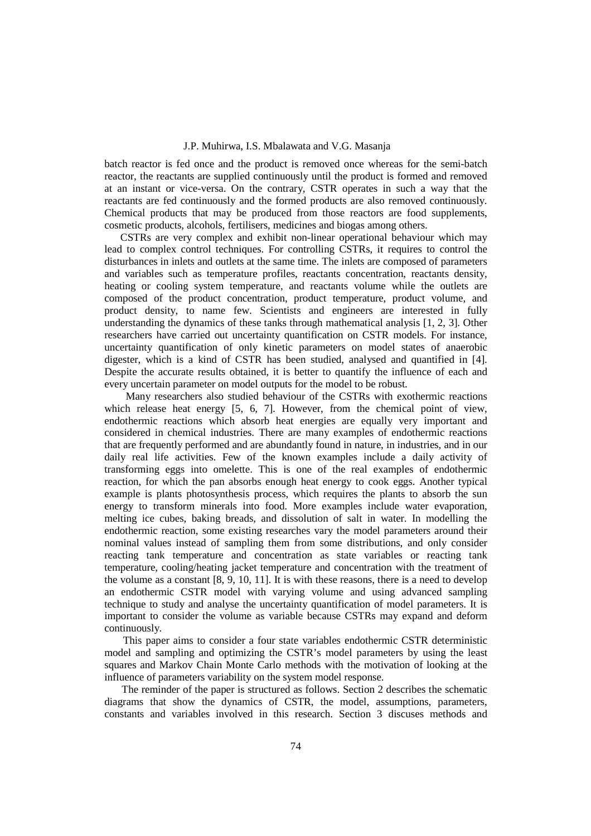batch reactor is fed once and the product is removed once whereas for the semi-batch reactor, the reactants are supplied continuously until the product is formed and removed at an instant or vice-versa. On the contrary, CSTR operates in such a way that the reactants are fed continuously and the formed products are also removed continuously. Chemical products that may be produced from those reactors are food supplements, cosmetic products, alcohols, fertilisers, medicines and biogas among others.

 CSTRs are very complex and exhibit non-linear operational behaviour which may lead to complex control techniques. For controlling CSTRs, it requires to control the disturbances in inlets and outlets at the same time. The inlets are composed of parameters and variables such as temperature profiles, reactants concentration, reactants density, heating or cooling system temperature, and reactants volume while the outlets are composed of the product concentration, product temperature, product volume, and product density, to name few. Scientists and engineers are interested in fully understanding the dynamics of these tanks through mathematical analysis [1, 2, 3]. Other researchers have carried out uncertainty quantification on CSTR models. For instance, uncertainty quantification of only kinetic parameters on model states of anaerobic digester, which is a kind of CSTR has been studied, analysed and quantified in [4]. Despite the accurate results obtained, it is better to quantify the influence of each and every uncertain parameter on model outputs for the model to be robust.

 Many researchers also studied behaviour of the CSTRs with exothermic reactions which release heat energy [5, 6, 7]. However, from the chemical point of view, endothermic reactions which absorb heat energies are equally very important and considered in chemical industries. There are many examples of endothermic reactions that are frequently performed and are abundantly found in nature, in industries, and in our daily real life activities. Few of the known examples include a daily activity of transforming eggs into omelette. This is one of the real examples of endothermic reaction, for which the pan absorbs enough heat energy to cook eggs. Another typical example is plants photosynthesis process, which requires the plants to absorb the sun energy to transform minerals into food. More examples include water evaporation, melting ice cubes, baking breads, and dissolution of salt in water. In modelling the endothermic reaction, some existing researches vary the model parameters around their nominal values instead of sampling them from some distributions, and only consider reacting tank temperature and concentration as state variables or reacting tank temperature, cooling/heating jacket temperature and concentration with the treatment of the volume as a constant [8, 9, 10, 11]. It is with these reasons, there is a need to develop an endothermic CSTR model with varying volume and using advanced sampling technique to study and analyse the uncertainty quantification of model parameters. It is important to consider the volume as variable because CSTRs may expand and deform continuously.

 This paper aims to consider a four state variables endothermic CSTR deterministic model and sampling and optimizing the CSTR's model parameters by using the least squares and Markov Chain Monte Carlo methods with the motivation of looking at the influence of parameters variability on the system model response.

The reminder of the paper is structured as follows. Section 2 describes the schematic diagrams that show the dynamics of CSTR, the model, assumptions, parameters, constants and variables involved in this research. Section 3 discuses methods and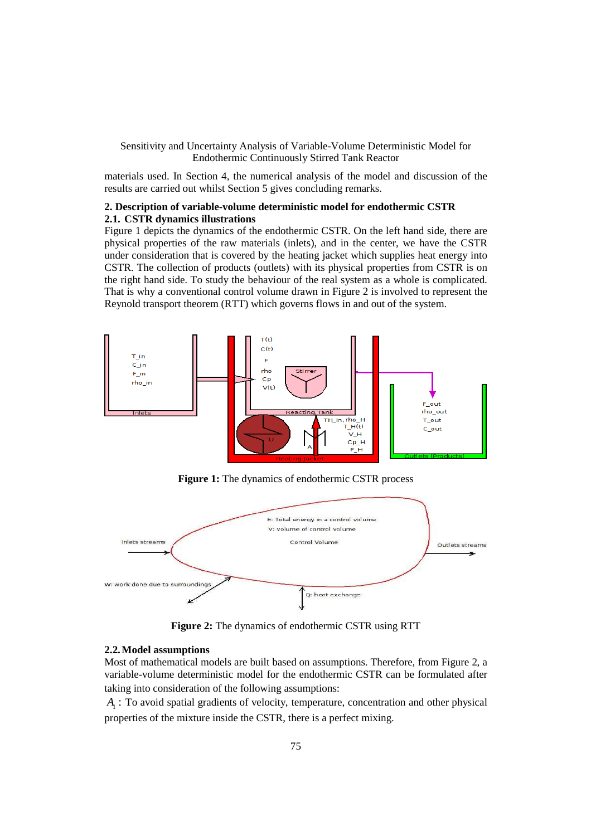materials used. In Section 4, the numerical analysis of the model and discussion of the results are carried out whilst Section 5 gives concluding remarks.

# **2. Description of variable-volume deterministic model for endothermic CSTR 2.1. CSTR dynamics illustrations**

Figure 1 depicts the dynamics of the endothermic CSTR. On the left hand side, there are physical properties of the raw materials (inlets), and in the center, we have the CSTR under consideration that is covered by the heating jacket which supplies heat energy into CSTR. The collection of products (outlets) with its physical properties from CSTR is on the right hand side. To study the behaviour of the real system as a whole is complicated. That is why a conventional control volume drawn in Figure 2 is involved to represent the Reynold transport theorem (RTT) which governs flows in and out of the system.



**Figure 1:** The dynamics of endothermic CSTR process



**Figure 2:** The dynamics of endothermic CSTR using RTT

#### **2.2.Model assumptions**

Most of mathematical models are built based on assumptions. Therefore, from Figure 2, a variable-volume deterministic model for the endothermic CSTR can be formulated after taking into consideration of the following assumptions:

<sup>1</sup> *A* : To avoid spatial gradients of velocity, temperature, concentration and other physical properties of the mixture inside the CSTR, there is a perfect mixing.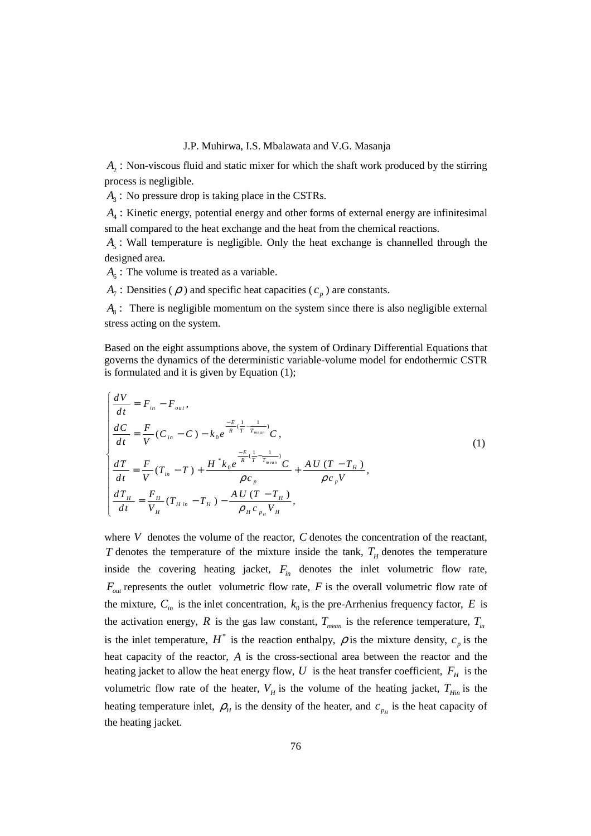<sup>2</sup> *A* : Non-viscous fluid and static mixer for which the shaft work produced by the stirring process is negligible.

 $A_3$ : No pressure drop is taking place in the CSTRs.

<sup>4</sup> *A* : Kinetic energy, potential energy and other forms of external energy are infinitesimal small compared to the heat exchange and the heat from the chemical reactions.

 $A_5$ : Wall temperature is negligible. Only the heat exchange is channelled through the designed area.

 $A<sub>6</sub>$ : The volume is treated as a variable.

 $A_7$ : Densities ( $\rho$ ) and specific heat capacities ( $c_p$ ) are constants.

 $A_8$ : There is negligible momentum on the system since there is also negligible external stress acting on the system.

Based on the eight assumptions above, the system of Ordinary Differential Equations that governs the dynamics of the deterministic variable-volume model for endothermic CSTR is formulated and it is given by Equation (1);

$$
\begin{cases}\n\frac{dV}{dt} = F_{in} - F_{out}, \\
\frac{dC}{dt} = \frac{F}{V}(C_{in} - C) - k_0 e^{-\frac{E}{R}(\frac{1}{T} - \frac{1}{T_{mean}})}C, \\
\frac{dT}{dt} = \frac{F}{V}(T_{in} - T) + \frac{H^* k_0 e^{-\frac{E}{R}(\frac{1}{T} - \frac{1}{T_{mean}})}C}{\rho c_p} + \frac{A U (T - T_H)}{\rho c_p V}, \\
\frac{dT_H}{dt} = \frac{F_H}{V_H}(T_{H in} - T_H) - \frac{A U (T - T_H)}{\rho_H c_{p_H} V_H},\n\end{cases}
$$
\n(1)

where *V* denotes the volume of the reactor, *C* denotes the concentration of the reactant, *T* denotes the temperature of the mixture inside the tank,  $T_H$  denotes the temperature inside the covering heating jacket,  $F_{in}$  denotes the inlet volumetric flow rate,  $F_{out}$  represents the outlet volumetric flow rate, *F* is the overall volumetric flow rate of the mixture,  $C_{in}$  is the inlet concentration,  $k_0$  is the pre-Arrhenius frequency factor, *E* is the activation energy, *R* is the gas law constant,  $T_{mean}$  is the reference temperature,  $T_{in}$ is the inlet temperature,  $H^*$  is the reaction enthalpy,  $\rho$  is the mixture density,  $c_p$  is the heat capacity of the reactor, *A* is the cross-sectional area between the reactor and the heating jacket to allow the heat energy flow,  $U$  is the heat transfer coefficient,  $F_H$  is the volumetric flow rate of the heater,  $V_H$  is the volume of the heating jacket,  $T_{Hin}$  is the heating temperature inlet,  $\rho_H$  is the density of the heater, and  $c_{p_H}$  is the heat capacity of the heating jacket.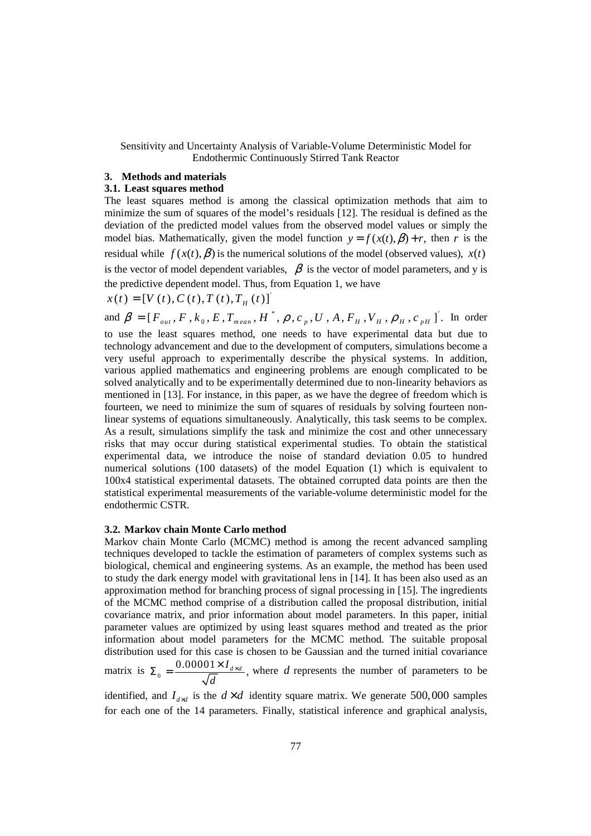# **3. Methods and materials**

# **3.1. Least squares method**

The least squares method is among the classical optimization methods that aim to minimize the sum of squares of the model's residuals [12]. The residual is defined as the deviation of the predicted model values from the observed model values or simply the model bias. Mathematically, given the model function  $y = f(x(t), \beta) + r$ , then *r* is the residual while  $f(x(t), \beta)$  is the numerical solutions of the model (observed values),  $x(t)$ is the vector of model dependent variables,  $\beta$  is the vector of model parameters, and y is the predictive dependent model. Thus, from Equation 1, we have

 $x(t) = [V(t), C(t), T(t), T<sub>H</sub>(t)]$ <sup>'</sup>

and  $\beta = [F_{out}, F, k_0, E, T_{mean}, H^*, \rho, c_{p}, U, A, F_{H}, V_{H}, \rho_{H}, c_{pH}]$ . In order to use the least squares method, one needs to have experimental data but due to technology advancement and due to the development of computers, simulations become a very useful approach to experimentally describe the physical systems. In addition, various applied mathematics and engineering problems are enough complicated to be solved analytically and to be experimentally determined due to non-linearity behaviors as mentioned in [13]. For instance, in this paper, as we have the degree of freedom which is fourteen, we need to minimize the sum of squares of residuals by solving fourteen nonlinear systems of equations simultaneously. Analytically, this task seems to be complex. As a result, simulations simplify the task and minimize the cost and other unnecessary risks that may occur during statistical experimental studies. To obtain the statistical experimental data, we introduce the noise of standard deviation 0.05 to hundred numerical solutions (100 datasets) of the model Equation (1) which is equivalent to 100x4 statistical experimental datasets. The obtained corrupted data points are then the statistical experimental measurements of the variable-volume deterministic model for the endothermic CSTR.

#### **3.2. Markov chain Monte Carlo method**

Markov chain Monte Carlo (MCMC) method is among the recent advanced sampling techniques developed to tackle the estimation of parameters of complex systems such as biological, chemical and engineering systems. As an example, the method has been used to study the dark energy model with gravitational lens in [14]. It has been also used as an approximation method for branching process of signal processing in [15]. The ingredients of the MCMC method comprise of a distribution called the proposal distribution, initial covariance matrix, and prior information about model parameters. In this paper, initial parameter values are optimized by using least squares method and treated as the prior information about model parameters for the MCMC method. The suitable proposal distribution used for this case is chosen to be Gaussian and the turned initial covariance matrix is  $\Sigma_0 = \frac{0.00001 \times I_{d \times d}}{\sqrt{I}}$ ,  $\Sigma_0 = \frac{0.00001 \times I_{d \times d}}{\sqrt{2}}$ , where *d* represents the number of parameters to be

*d* identified, and  $I_{d \times d}$  is the  $d \times d$  identity square matrix. We generate 500,000 samples

for each one of the 14 parameters. Finally, statistical inference and graphical analysis,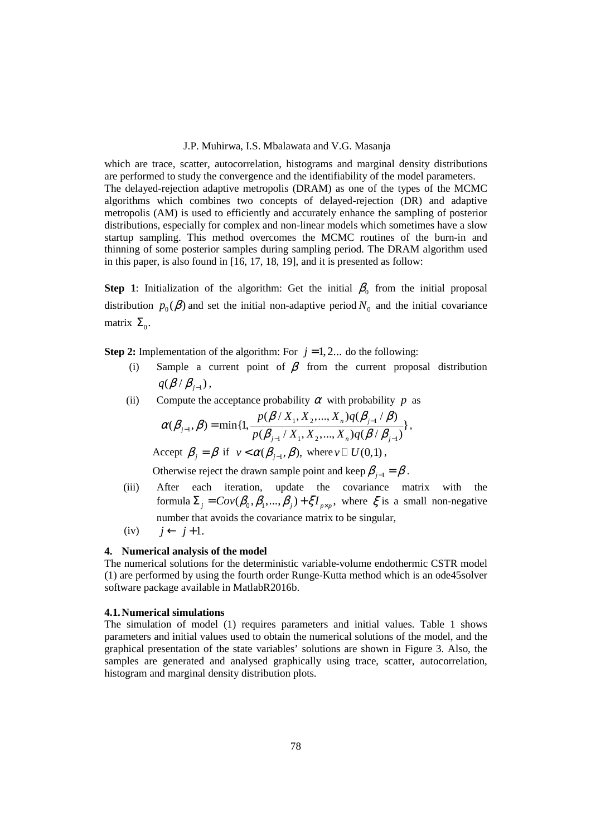which are trace, scatter, autocorrelation, histograms and marginal density distributions are performed to study the convergence and the identifiability of the model parameters. The delayed-rejection adaptive metropolis (DRAM) as one of the types of the MCMC algorithms which combines two concepts of delayed-rejection (DR) and adaptive metropolis (AM) is used to efficiently and accurately enhance the sampling of posterior distributions, especially for complex and non-linear models which sometimes have a slow startup sampling. This method overcomes the MCMC routines of the burn-in and thinning of some posterior samples during sampling period. The DRAM algorithm used in this paper, is also found in [16, 17, 18, 19], and it is presented as follow:

**Step 1**: Initialization of the algorithm: Get the initial  $\beta_0$  from the initial proposal distribution  $p_0(\beta)$  and set the initial non-adaptive period  $N_0$  and the initial covariance matrix  $\Sigma_{0}$ .

**Step 2:** Implementation of the algorithm: For  $j = 1, 2...$  do the following:

- (i) Sample a current point of  $\beta$  from the current proposal distribution  $q(\beta/\beta_{j-1}),$
- (ii) Compute the acceptance probability  $\alpha$  with probability  $p$  as

$$
\alpha(\beta_{j-1}, \beta) = \min\{1, \frac{p(\beta / X_1, X_2, ..., X_n)q(\beta_{j-1} / \beta)}{p(\beta_{j-1} / X_1, X_2, ..., X_n)q(\beta / \beta_{j-1})}\},
$$

Accept  $\beta_j = \beta$  if  $v < \alpha(\beta_{j-1}, \beta)$ , where *v*  $U(0,1)$ ,

Otherwise reject the drawn sample point and keep  $\beta_{i-1} = \beta$ .

- (iii) After each iteration, update the covariance matrix with the formula  $\Sigma_j = Cov(\beta_0, \beta_1, ..., \beta_j) + \xi I_{p \times p}$ , where  $\xi$  is a small non-negative number that avoids the covariance matrix to be singular,
- $(iv)$   $j \leftarrow j+1.$

## **4. Numerical analysis of the model**

The numerical solutions for the deterministic variable-volume endothermic CSTR model (1) are performed by using the fourth order Runge-Kutta method which is an ode45solver software package available in MatlabR2016b.

## **4.1.Numerical simulations**

The simulation of model (1) requires parameters and initial values. Table 1 shows parameters and initial values used to obtain the numerical solutions of the model, and the graphical presentation of the state variables' solutions are shown in Figure 3. Also, the samples are generated and analysed graphically using trace, scatter, autocorrelation, histogram and marginal density distribution plots.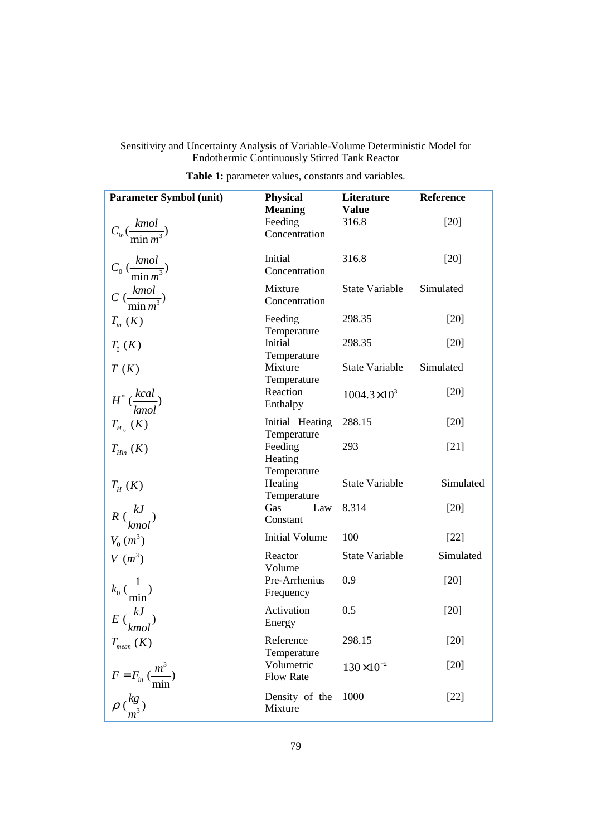| <b>Parameter Symbol (unit)</b>             | <b>Physical</b><br><b>Meaning</b> | Literature<br><b>Value</b> |           |
|--------------------------------------------|-----------------------------------|----------------------------|-----------|
| $C_{in}(\frac{kmol}{m^2m^3})$              | Feeding<br>Concentration          | 316.8                      | [20]      |
| $C_0 \left(\frac{kmol}{\min m^3}\right)$   | Initial<br>Concentration          | 316.8                      | $[20]$    |
| $C\left(\frac{kmol}{\min m^3}\right)$      | Mixture<br>Concentration          | State Variable             | Simulated |
| $T_{in}$ $(K)$                             | Feeding<br>Temperature            | 298.35                     | $[20]$    |
| $T_0(K)$                                   | Initial<br>Temperature            | 298.35                     | $[20]$    |
| T(K)                                       | Mixture<br>Temperature            | State Variable             | Simulated |
| $H^*$ $\frac{kcal}{kmol}$                  | Reaction<br>Enthalpy              | $1004.3\times10^{3}$       | $[20]$    |
| $T_{H_0}(K)$                               | Initial Heating<br>Temperature    | 288.15                     | $[20]$    |
| $T_{\text{Hin}}(K)$                        | Feeding<br>Heating<br>Temperature | 293                        | $[21]$    |
| $T_{H}$ (K)                                | Heating<br>Temperature            | <b>State Variable</b>      | Simulated |
| $R\left(\frac{kJ}{kmol}\right)$            | <b>Gas</b><br>Law<br>Constant     | 8.314                      | $[20]$    |
| $V_0(m^3)$                                 | <b>Initial Volume</b>             | 100                        | $[22]$    |
| $V(m^3)$                                   | Reactor<br>Volume                 | State Variable             | Simulated |
| $k_0 \left( \frac{1}{\min} \right)$        | Pre-Arrhenius<br>Frequency        | 0.9                        | $[20]$    |
| $E\left(\frac{kJ}{l}\right)$<br>kmo.       | Activation<br>Energy              | 0.5                        | $[20]$    |
| $T_{mean}$ (K)                             | Reference<br>Temperature          | 298.15                     | $[20]$    |
| $F = F_{in} \left(\frac{m^3}{\min}\right)$ | Volumetric<br><b>Flow Rate</b>    | $130\times10^{-2}$         | $[20]$    |
| $\rho\ (\frac{kg}{m^3})$                   | Density of the<br>Mixture         | 1000                       | $[22]$    |

|  |  | <b>Table 1:</b> parameter values, constants and variables. |  |  |  |  |
|--|--|------------------------------------------------------------|--|--|--|--|
|--|--|------------------------------------------------------------|--|--|--|--|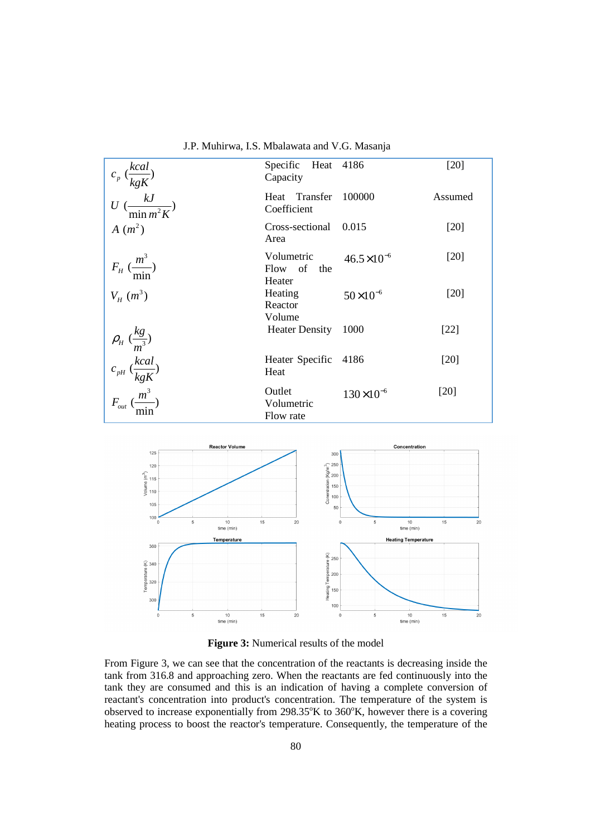| $c_p \left(\frac{kcal}{kgK}\right)$                                                              | Specific Heat 4186<br>Capacity         |                       | [20]    |
|--------------------------------------------------------------------------------------------------|----------------------------------------|-----------------------|---------|
| $U\left(\frac{kJ}{\min m^2K}\right)$                                                             | Heat Transfer<br>Coefficient           | 100000                | Assumed |
| $A(m^2)$                                                                                         | Cross-sectional<br>Area                | 0.015                 | [20]    |
| $F_H \left(\frac{m^3}{\cdot}\right)$<br>min                                                      | Volumetric<br>Flow of the              | $46.5 \times 10^{-6}$ | [20]    |
| $V_{H}$ $(m^{3})$                                                                                | Heater<br>Heating<br>Reactor<br>Volume | $50\times10^{-6}$     | [20]    |
| $\rho_{_H} \left(\frac{kg}{m^3}\right)$                                                          | <b>Heater Density</b>                  | 1000                  | $[22]$  |
|                                                                                                  | Heater Specific 4186<br>Heat           |                       | $[20]$  |
| $\begin{split} c_{_{pH}}\,(\frac{kcal}{kgK})\\ F_{_{out}}\,(\frac{m^3}{\text{min}}) \end{split}$ | Outlet<br>Volumetric<br>Flow rate      | $130\times10^{-6}$    | [20]    |

J.P. Muhirwa, I.S. Mbalawata and V.G. Masanja



**Figure 3:** Numerical results of the model

From Figure 3, we can see that the concentration of the reactants is decreasing inside the tank from 316.8 and approaching zero. When the reactants are fed continuously into the tank they are consumed and this is an indication of having a complete conversion of reactant's concentration into product's concentration. The temperature of the system is observed to increase exponentially from  $298.35^{\circ}$ K to  $360^{\circ}$ K, however there is a covering heating process to boost the reactor's temperature. Consequently, the temperature of the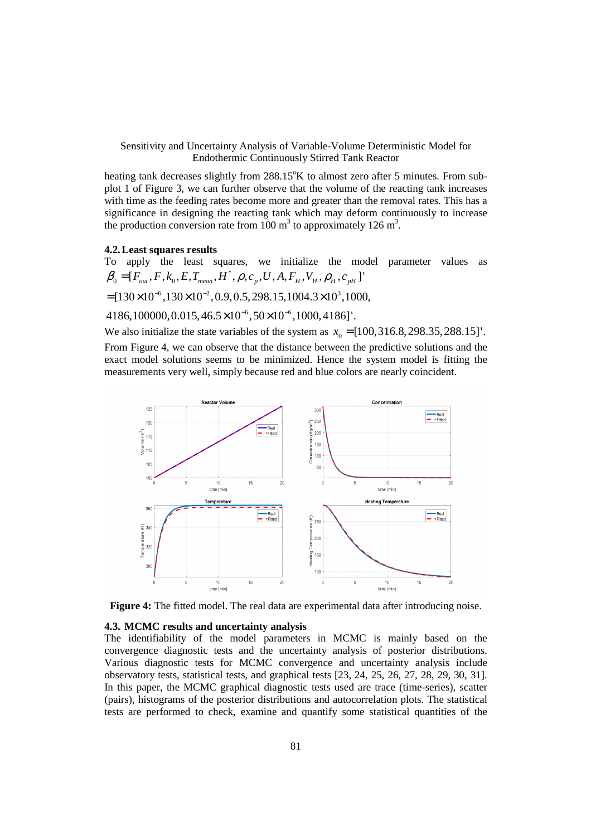heating tank decreases slightly from  $288.15^{\circ}$ K to almost zero after 5 minutes. From subplot 1 of Figure 3, we can further observe that the volume of the reacting tank increases with time as the feeding rates become more and greater than the removal rates. This has a significance in designing the reacting tank which may deform continuously to increase the production conversion rate from  $100 \text{ m}^3$  to approximately  $126 \text{ m}^3$ .

## **4.2.Least squares results**

To apply the least squares, we initialize the model parameter values as \*  $\pmb{\beta}_{\text{0}}\!=\![F_{_{out}},F, k_{_{0}},E, T_{_{mean}},H^{*}, \pmb{\rho}, \pmb{c}_{_{p}},U, A, F_{_{H}}, V_{_{H}}, \pmb{\rho}_{_{H}}, \pmb{c}_{_{pH}}]$ '

 $=[130\times10^{-6}, 130\times10^{-2}, 0.9, 0.5, 298.15, 1004.3\times10^{3}, 1000,$ 

 $4186,100000, 0.015, 46.5 \times 10^{-6}, 50 \times 10^{-6}, 1000, 4186$ ]'.

We also initialize the state variables of the system as  $x_0 = [100, 316.8, 298.35, 288.15]$ '. From Figure 4, we can observe that the distance between the predictive solutions and the exact model solutions seems to be minimized. Hence the system model is fitting the measurements very well, simply because red and blue colors are nearly coincident.



**Figure 4:** The fitted model. The real data are experimental data after introducing noise.

## **4.3. MCMC results and uncertainty analysis**

The identifiability of the model parameters in MCMC is mainly based on the convergence diagnostic tests and the uncertainty analysis of posterior distributions. Various diagnostic tests for MCMC convergence and uncertainty analysis include observatory tests, statistical tests, and graphical tests [23, 24, 25, 26, 27, 28, 29, 30, 31]. In this paper, the MCMC graphical diagnostic tests used are trace (time-series), scatter (pairs), histograms of the posterior distributions and autocorrelation plots. The statistical tests are performed to check, examine and quantify some statistical quantities of the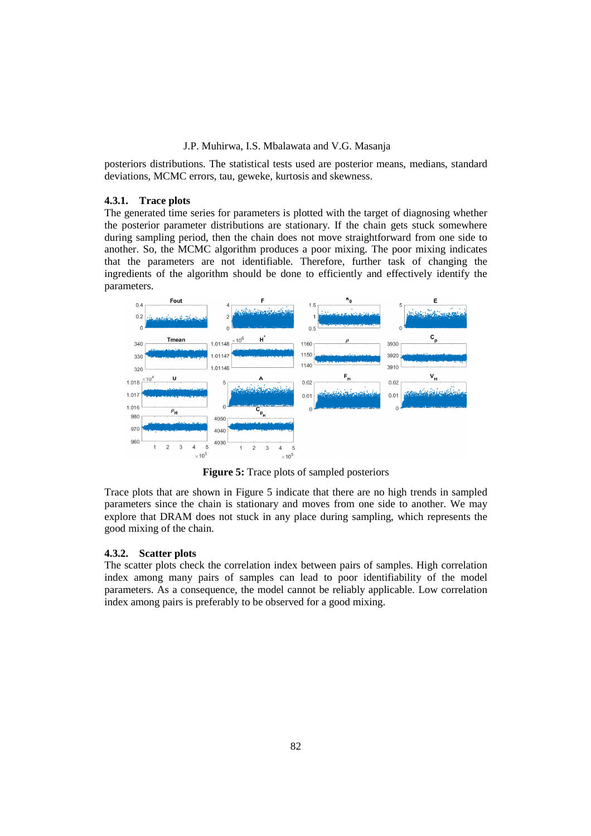posteriors distributions. The statistical tests used are posterior means, medians, standard deviations, MCMC errors, tau, geweke, kurtosis and skewness.

## **4.3.1. Trace plots**

The generated time series for parameters is plotted with the target of diagnosing whether the posterior parameter distributions are stationary. If the chain gets stuck somewhere during sampling period, then the chain does not move straightforward from one side to another. So, the MCMC algorithm produces a poor mixing. The poor mixing indicates that the parameters are not identifiable. Therefore, further task of changing the ingredients of the algorithm should be done to efficiently and effectively identify the parameters.



**Figure 5:** Trace plots of sampled posteriors

Trace plots that are shown in Figure 5 indicate that there are no high trends in sampled parameters since the chain is stationary and moves from one side to another. We may explore that DRAM does not stuck in any place during sampling, which represents the good mixing of the chain.

#### **4.3.2. Scatter plots**

The scatter plots check the correlation index between pairs of samples. High correlation index among many pairs of samples can lead to poor identifiability of the model parameters. As a consequence, the model cannot be reliably applicable. Low correlation index among pairs is preferably to be observed for a good mixing.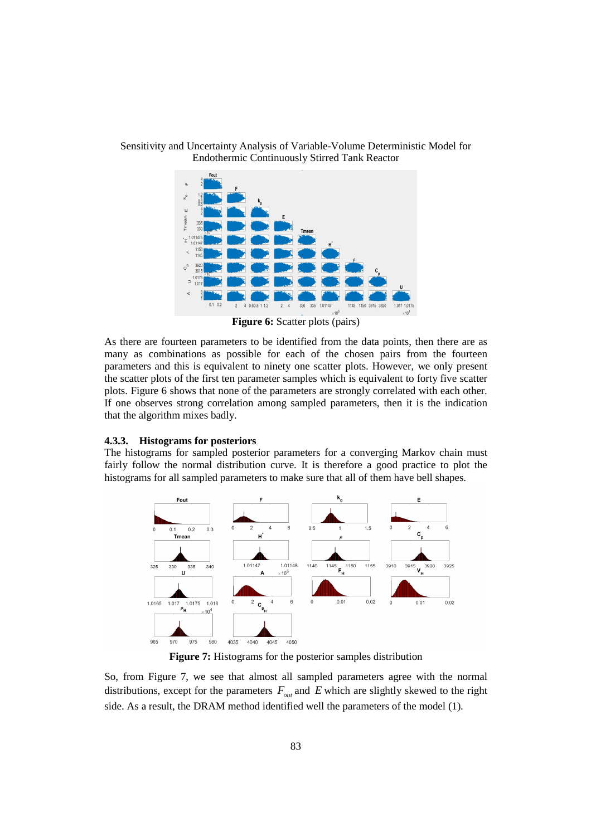

**Figure 6:** Scatter plots (pairs)

As there are fourteen parameters to be identified from the data points, then there are as many as combinations as possible for each of the chosen pairs from the fourteen parameters and this is equivalent to ninety one scatter plots. However, we only present the scatter plots of the first ten parameter samples which is equivalent to forty five scatter plots. Figure 6 shows that none of the parameters are strongly correlated with each other. If one observes strong correlation among sampled parameters, then it is the indication that the algorithm mixes badly.

## **4.3.3. Histograms for posteriors**

The histograms for sampled posterior parameters for a converging Markov chain must fairly follow the normal distribution curve. It is therefore a good practice to plot the histograms for all sampled parameters to make sure that all of them have bell shapes.



**Figure 7:** Histograms for the posterior samples distribution

So, from Figure 7, we see that almost all sampled parameters agree with the normal distributions, except for the parameters  $F_{out}$  and  $E$  which are slightly skewed to the right side. As a result, the DRAM method identified well the parameters of the model (1).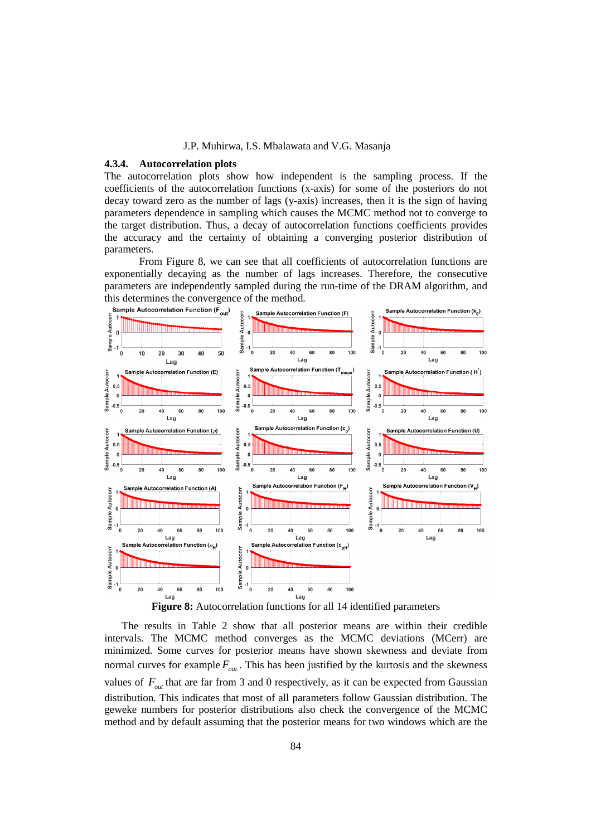#### **4.3.4. Autocorrelation plots**

The autocorrelation plots show how independent is the sampling process. If the coefficients of the autocorrelation functions (x-axis) for some of the posteriors do not decay toward zero as the number of lags (y-axis) increases, then it is the sign of having parameters dependence in sampling which causes the MCMC method not to converge to the target distribution. Thus, a decay of autocorrelation functions coefficients provides the accuracy and the certainty of obtaining a converging posterior distribution of parameters.

From Figure 8, we can see that all coefficients of autocorrelation functions are exponentially decaying as the number of lags increases. Therefore, the consecutive parameters are independently sampled during the run-time of the DRAM algorithm, and this determines the convergence of the method.<br>
Sample Autocorrelation Function  $(F_{\text{curl}})$   $\geq$  Sample Autocorrelation



**Figure 8:** Autocorrelation functions for all 14 identified parameters

The results in Table 2 show that all posterior means are within their credible intervals. The MCMC method converges as the MCMC deviations (MCerr) are minimized. Some curves for posterior means have shown skewness and deviate from normal curves for example  $F_{out}$ . This has been justified by the kurtosis and the skewness values of  $F_{out}$  that are far from 3 and 0 respectively, as it can be expected from Gaussian distribution. This indicates that most of all parameters follow Gaussian distribution. The geweke numbers for posterior distributions also check the convergence of the MCMC method and by default assuming that the posterior means for two windows which are the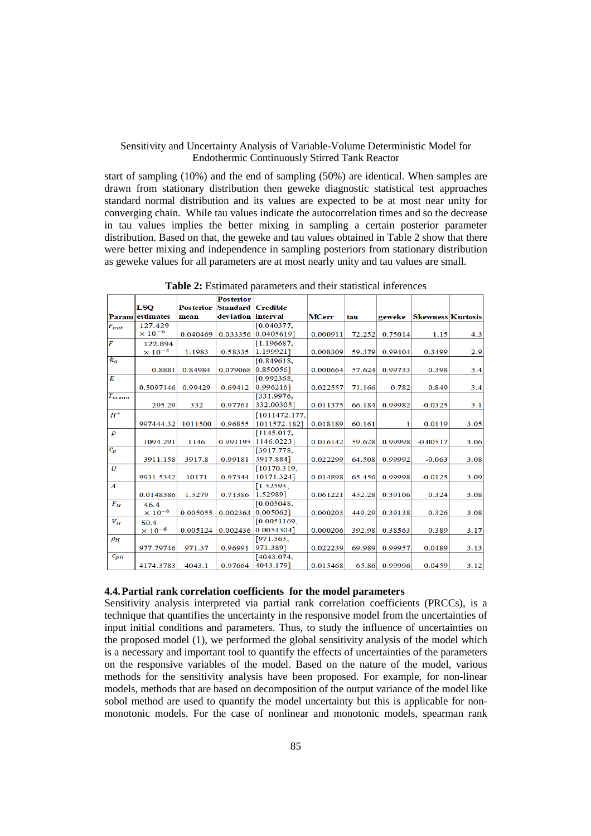start of sampling (10%) and the end of sampling (50%) are identical. When samples are drawn from stationary distribution then geweke diagnostic statistical test approaches standard normal distribution and its values are expected to be at most near unity for converging chain. While tau values indicate the autocorrelation times and so the decrease in tau values implies the better mixing in sampling a certain posterior parameter distribution. Based on that, the geweke and tau values obtained in Table 2 show that there were better mixing and independence in sampling posteriors from stationary distribution as geweke values for all parameters are at most nearly unity and tau values are small.

|                         |                           |                  | <b>Posterior</b>    |                       |              |        |         |                          |      |
|-------------------------|---------------------------|------------------|---------------------|-----------------------|--------------|--------|---------|--------------------------|------|
|                         | <b>LSO</b>                | <b>Posterior</b> | Standard   Credible |                       |              |        |         |                          |      |
|                         | <b>Param</b> estimates    | mean             | deviation interval  |                       | <b>MCerr</b> | tau    | geweke  | <b>Skewness Kurtosis</b> |      |
| $F_{\boldsymbol{o} ut}$ | 127.429                   |                  |                     | [0.040377]            |              |        |         |                          |      |
|                         | $\times$ 10 <sup>-6</sup> | 0.040469         |                     | 0.033356 0.0405619]   | 0.000911     | 72.252 | 0.75014 | 1.15                     | 4.3  |
| $\overline{F}$          | 122.894                   |                  |                     | [1.196687,            |              |        |         |                          |      |
|                         | $\times$ 10 <sup>-2</sup> | 1.1983           | 0.58335             | 1.199921]             | 0.008309     | 59.379 | 0.99404 | 0.3499                   | 2.9  |
| $k_0$                   |                           |                  |                     | [0.849618,            |              |        |         |                          |      |
|                         | 0.8881                    | 0.84984          | 0.079068            | $0.850056$ ]          | 0.000664     | 57.624 | 0.99733 | 0.398                    | 3.4  |
| $\overline{E}$          |                           |                  |                     | [0.992368,            |              |        |         |                          |      |
|                         | 0.5097146                 | 0.99429          | 0.69412             | 0.996216]             | 0.022557     | 71.166 | 0.782   | 0.849                    | 3.4  |
| $T_{mean}$              |                           |                  |                     | [331.9976,            |              |        |         |                          |      |
|                         | 295.29                    | 332              | 0.97761             | 332.00305]            | 0.011375     | 66.184 | 0.99982 | $-0.0325$                | 3.1  |
| $H^*$                   |                           |                  |                     | [1011472.177,         |              |        |         |                          |      |
|                         | 997444.32                 | 1011500          | 0.96855             | 1011572.1821          | 0.018189     | 60.161 | 1       | 0.0119                   | 3.05 |
| $\rho$                  |                           |                  |                     | [1145.017,            |              |        |         |                          |      |
|                         | 1094.291                  | 1146             | 0.991195            | 1146.0223]            | 0.016142     | 59.628 | 0.99998 | $-0.00517$               | 3.06 |
| $c_p$                   |                           |                  |                     | [3917.778,            |              |        |         |                          |      |
|                         | 3911.158                  | 3917.8           | 0.99181             | 3917.884]             | 0.022299     | 64.508 | 0.99992 | $-0.063$                 | 3.08 |
| $\boldsymbol{U}$        |                           |                  |                     | [10170.319,           |              |        |         |                          |      |
|                         | 9931.5342                 | 10171            | 0.97344             | 10171.324]            | 0.014898     | 65.456 | 0.99998 | $-0.0125$                | 3.09 |
| $\boldsymbol{A}$        |                           |                  |                     | [1.52593,             |              |        |         |                          |      |
|                         | 0.0148386                 | 1.5279           | 0.71386             | 1.52989]              | 0.061221     | 452.28 | 0.39106 | 0.324                    | 3.08 |
| $F_H$                   | 46.4                      |                  |                     | [0.005048,            |              |        |         |                          |      |
|                         | $\times$ 10 <sup>-6</sup> | 0.005055         |                     | 0.002363 0.0050621    | 0.000203     | 449.29 | 0.39138 | 0.326                    | 3.08 |
| $V_H$                   | 50.4                      |                  |                     | [0.0051169,           |              |        |         |                          |      |
|                         | $\times$ $10^{-6}$        | 0.005124         |                     | $0.002436$ 0.0051304] | 0.000206     | 392.98 | 0.38563 | 0.389                    | 3.17 |
| $\rho_H$                |                           |                  |                     | [971.363,             |              |        |         |                          |      |
|                         | 977.79746                 | 971.37           | 0.96991             | 971.389]              | 0.022239     | 69.989 | 0.99957 | 0.0489                   | 3.13 |
| $c_{pH}$                |                           |                  |                     | [4043.074]            |              |        |         |                          |      |
|                         | 4174.3783                 | 4043.1           | 0.97664             | 4043.179]             | 0.015468     | 65.86  | 0.99996 | 0.0459                   | 3.12 |

**Table 2:** Estimated parameters and their statistical inferences

#### **4.4.Partial rank correlation coefficients for the model parameters**

Sensitivity analysis interpreted via partial rank correlation coefficients (PRCCs), is a technique that quantifies the uncertainty in the responsive model from the uncertainties of input initial conditions and parameters. Thus, to study the influence of uncertainties on the proposed model (1), we performed the global sensitivity analysis of the model which is a necessary and important tool to quantify the effects of uncertainties of the parameters on the responsive variables of the model. Based on the nature of the model, various methods for the sensitivity analysis have been proposed. For example, for non-linear models, methods that are based on decomposition of the output variance of the model like sobol method are used to quantify the model uncertainty but this is applicable for nonmonotonic models. For the case of nonlinear and monotonic models, spearman rank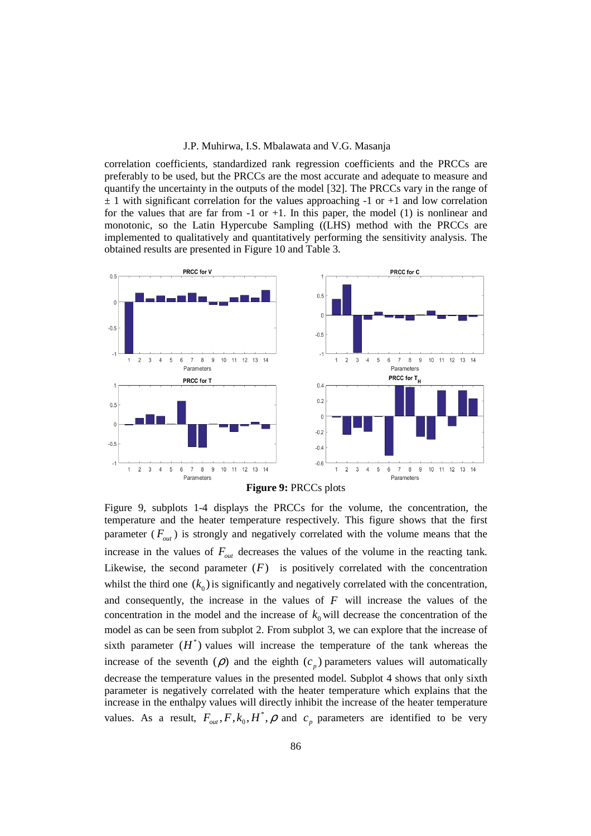correlation coefficients, standardized rank regression coefficients and the PRCCs are preferably to be used, but the PRCCs are the most accurate and adequate to measure and quantify the uncertainty in the outputs of the model [32]. The PRCCs vary in the range of  $\pm$  1 with significant correlation for the values approaching -1 or +1 and low correlation for the values that are far from  $-1$  or  $+1$ . In this paper, the model (1) is nonlinear and monotonic, so the Latin Hypercube Sampling ((LHS) method with the PRCCs are implemented to qualitatively and quantitatively performing the sensitivity analysis. The obtained results are presented in Figure 10 and Table 3.



Figure 9, subplots 1-4 displays the PRCCs for the volume, the concentration, the temperature and the heater temperature respectively. This figure shows that the first parameter  $(F_{out})$  is strongly and negatively correlated with the volume means that the increase in the values of  $F_{\alpha\alpha}$  decreases the values of the volume in the reacting tank. Likewise, the second parameter  $(F)$  is positively correlated with the concentration whilst the third one  $(k_0)$  is significantly and negatively correlated with the concentration, and consequently, the increase in the values of *F* will increase the values of the concentration in the model and the increase of  $k_0$  will decrease the concentration of the model as can be seen from subplot 2. From subplot 3, we can explore that the increase of sixth parameter  $(H^*)$  values will increase the temperature of the tank whereas the increase of the seventh  $(\rho)$  and the eighth  $(c_p)$  parameters values will automatically decrease the temperature values in the presented model. Subplot 4 shows that only sixth parameter is negatively correlated with the heater temperature which explains that the increase in the enthalpy values will directly inhibit the increase of the heater temperature values. As a result,  $F_{out}$ ,  $F$ ,  $k_0$ ,  $H^*$ ,  $\rho$  and  $c_p$  parameters are identified to be very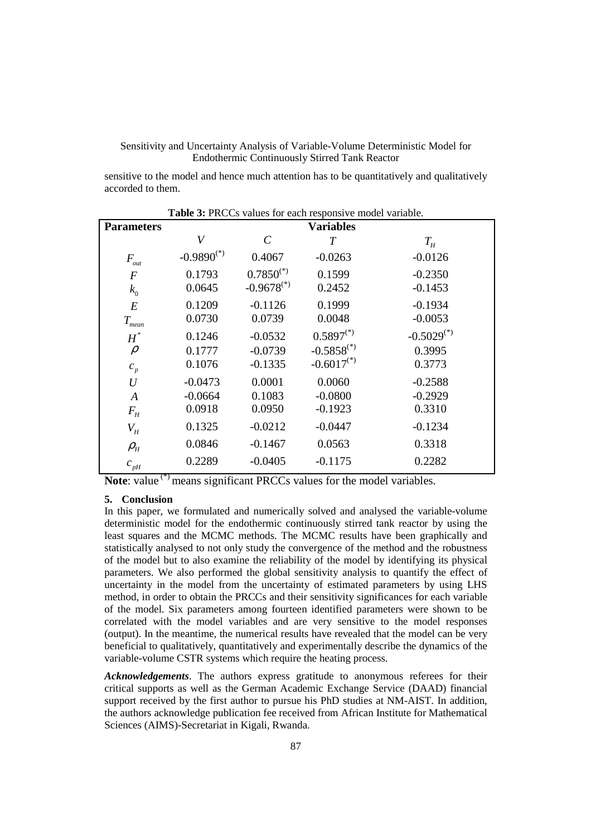sensitive to the model and hence much attention has to be quantitatively and qualitatively accorded to them.

|                     | Table 3: PRCCs values for each responsive model variable. |                         |                 |                 |  |  |  |
|---------------------|-----------------------------------------------------------|-------------------------|-----------------|-----------------|--|--|--|
| <b>Parameters</b>   | <b>Variables</b>                                          |                         |                 |                 |  |  |  |
|                     | $\bar{V}$                                                 | $\mathcal{C}_{0}^{(n)}$ | $\overline{T}$  | $T_{H}$         |  |  |  |
| $F_{\rm out}$       | $-0.9890^{(*)}$                                           | 0.4067                  | $-0.0263$       | $-0.0126$       |  |  |  |
| $\cal F$            | 0.1793                                                    | $0.7850^{(*)}$          | 0.1599          | $-0.2350$       |  |  |  |
| $k_{0}$             | 0.0645                                                    | $-0.9678^{(*)}$         | 0.2452          | $-0.1453$       |  |  |  |
| E                   | 0.1209                                                    | $-0.1126$               | 0.1999          | $-0.1934$       |  |  |  |
| $T_{\mathit{mean}}$ | 0.0730                                                    | 0.0739                  | 0.0048          | $-0.0053$       |  |  |  |
| $H^*$               | 0.1246                                                    | $-0.0532$               | $0.5897^{(*)}$  | $-0.5029^{(*)}$ |  |  |  |
| $\rho$              | 0.1777                                                    | $-0.0739$               | $-0.5858^{(*)}$ | 0.3995          |  |  |  |
| $c_p$               | 0.1076                                                    | $-0.1335$               | $-0.6017^{(*)}$ | 0.3773          |  |  |  |
| $\boldsymbol{U}$    | $-0.0473$                                                 | 0.0001                  | 0.0060          | $-0.2588$       |  |  |  |
| A                   | $-0.0664$                                                 | 0.1083                  | $-0.0800$       | $-0.2929$       |  |  |  |
| $F_{H}$             | 0.0918                                                    | 0.0950                  | $-0.1923$       | 0.3310          |  |  |  |
| $V_H$               | 0.1325                                                    | $-0.0212$               | $-0.0447$       | $-0.1234$       |  |  |  |
| $\rho_{_H}$         | 0.0846                                                    | $-0.1467$               | 0.0563          | 0.3318          |  |  |  |
| $c_{pH}$            | 0.2289                                                    | $-0.0405$               | $-0.1175$       | 0.2282          |  |  |  |

**Note:** value<sup>(\*)</sup> means significant PRCCs values for the model variables.

## **5. Conclusion**

In this paper, we formulated and numerically solved and analysed the variable-volume deterministic model for the endothermic continuously stirred tank reactor by using the least squares and the MCMC methods. The MCMC results have been graphically and statistically analysed to not only study the convergence of the method and the robustness of the model but to also examine the reliability of the model by identifying its physical parameters. We also performed the global sensitivity analysis to quantify the effect of uncertainty in the model from the uncertainty of estimated parameters by using LHS method, in order to obtain the PRCCs and their sensitivity significances for each variable of the model. Six parameters among fourteen identified parameters were shown to be correlated with the model variables and are very sensitive to the model responses (output). In the meantime, the numerical results have revealed that the model can be very beneficial to qualitatively, quantitatively and experimentally describe the dynamics of the variable-volume CSTR systems which require the heating process.

*Acknowledgements*. The authors express gratitude to anonymous referees for their critical supports as well as the German Academic Exchange Service (DAAD) financial support received by the first author to pursue his PhD studies at NM-AIST. In addition, the authors acknowledge publication fee received from African Institute for Mathematical Sciences (AIMS)-Secretariat in Kigali, Rwanda.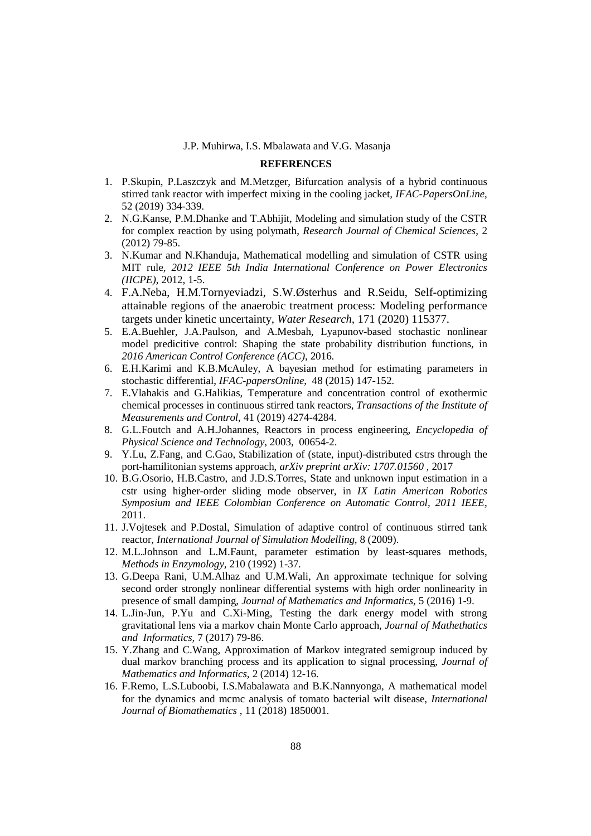## **REFERENCES**

- 1. P.Skupin, P.Laszczyk and M.Metzger, Bifurcation analysis of a hybrid continuous stirred tank reactor with imperfect mixing in the cooling jacket, *IFAC-PapersOnLine*, 52 (2019) 334-339.
- 2. N.G.Kanse, P.M.Dhanke and T.Abhijit, Modeling and simulation study of the CSTR for complex reaction by using polymath, *Research Journal of Chemical Sciences*, 2 (2012) 79-85.
- 3. N.Kumar and N.Khanduja, Mathematical modelling and simulation of CSTR using MIT rule, *2012 IEEE 5th India International Conference on Power Electronics (IICPE)*, 2012, 1-5.
- 4. F.A.Neba, H.M.Tornyeviadzi, S.W.Østerhus and R.Seidu, Self-optimizing attainable regions of the anaerobic treatment process: Modeling performance targets under kinetic uncertainty, *Water Research,* 171 (2020) 115377.
- 5. E.A.Buehler, J.A.Paulson, and A.Mesbah, Lyapunov-based stochastic nonlinear model predicitive control: Shaping the state probability distribution functions, in *2016 American Control Conference (ACC)*, 2016.
- 6. E.H.Karimi and K.B.McAuley, A bayesian method for estimating parameters in stochastic differential, *IFAC-papersOnline*, 48 (2015) 147-152.
- 7. E.Vlahakis and G.Halikias, Temperature and concentration control of exothermic chemical processes in continuous stirred tank reactors, *Transactions of the Institute of Measurements and Control*, 41 (2019) 4274-4284.
- 8. G.L.Foutch and A.H.Johannes, Reactors in process engineering, *Encyclopedia of Physical Science and Technology,* 2003*,* 00654-2.
- 9. Y.Lu, Z.Fang, and C.Gao, Stabilization of (state, input)-distributed cstrs through the port-hamilitonian systems approach, *arXiv preprint arXiv: 1707.01560 ,* 2017
- 10. B.G.Osorio, H.B.Castro, and J.D.S.Torres, State and unknown input estimation in a cstr using higher-order sliding mode observer, in *IX Latin American Robotics Symposium and IEEE Colombian Conference on Automatic Control, 2011 IEEE*, 2011.
- 11. J.Vojtesek and P.Dostal, Simulation of adaptive control of continuous stirred tank reactor, *International Journal of Simulation Modelling,* 8 (2009).
- 12. M.L.Johnson and L.M.Faunt, parameter estimation by least-squares methods, *Methods in Enzymology,* 210 (1992) 1-37.
- 13. G.Deepa Rani, U.M.Alhaz and U.M.Wali, An approximate technique for solving second order strongly nonlinear differential systems with high order nonlinearity in presence of small damping, *Journal of Mathematics and Informatics,* 5 (2016) 1-9.
- 14. L.Jin-Jun, P.Yu and C.Xi-Ming, Testing the dark energy model with strong gravitational lens via a markov chain Monte Carlo approach, *Journal of Mathethatics and Informatics,* 7 (2017) 79-86.
- 15. Y.Zhang and C.Wang, Approximation of Markov integrated semigroup induced by dual markov branching process and its application to signal processing, *Journal of Mathematics and Informatics,* 2 (2014) 12-16.
- 16. F.Remo, L.S.Luboobi, I.S.Mabalawata and B.K.Nannyonga, A mathematical model for the dynamics and mcmc analysis of tomato bacterial wilt disease, *International Journal of Biomathematics* , 11 (2018) 1850001.